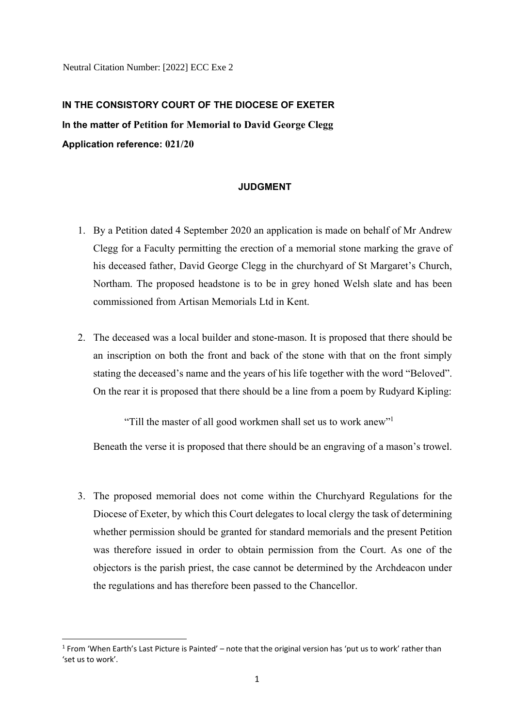Neutral Citation Number: [2022] ECC Exe 2

## **IN THE CONSISTORY COURT OF THE DIOCESE OF EXETER In the matter of Petition for Memorial to David George Clegg Application reference: 021/20**

## **JUDGMENT**

- 1. By a Petition dated 4 September 2020 an application is made on behalf of Mr Andrew Clegg for a Faculty permitting the erection of a memorial stone marking the grave of his deceased father, David George Clegg in the churchyard of St Margaret's Church, Northam. The proposed headstone is to be in grey honed Welsh slate and has been commissioned from Artisan Memorials Ltd in Kent.
- 2. The deceased was a local builder and stone-mason. It is proposed that there should be an inscription on both the front and back of the stone with that on the front simply stating the deceased's name and the years of his life together with the word "Beloved". On the rear it is proposed that there should be a line from a poem by Rudyard Kipling:

"Till the master of all good workmen shall set us to work anew"1

Beneath the verse it is proposed that there should be an engraving of a mason's trowel.

3. The proposed memorial does not come within the Churchyard Regulations for the Diocese of Exeter, by which this Court delegates to local clergy the task of determining whether permission should be granted for standard memorials and the present Petition was therefore issued in order to obtain permission from the Court. As one of the objectors is the parish priest, the case cannot be determined by the Archdeacon under the regulations and has therefore been passed to the Chancellor.

 $\overline{a}$ 

<sup>&</sup>lt;sup>1</sup> From 'When Earth's Last Picture is Painted' – note that the original version has 'put us to work' rather than 'set us to work'.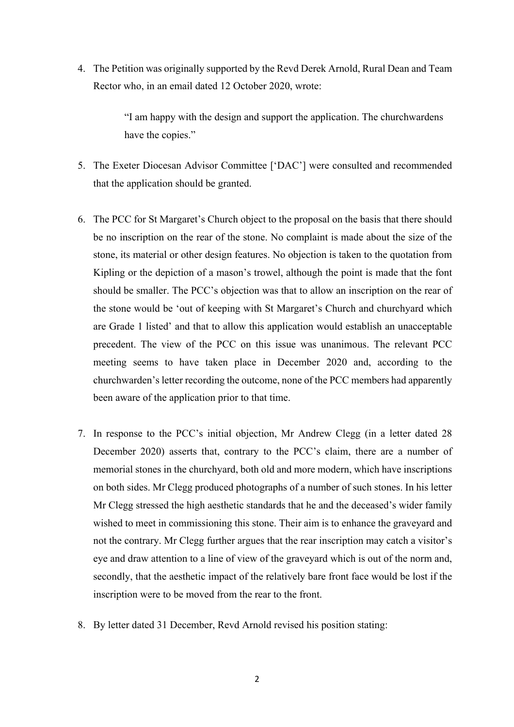4. The Petition was originally supported by the Revd Derek Arnold, Rural Dean and Team Rector who, in an email dated 12 October 2020, wrote:

> "I am happy with the design and support the application. The churchwardens have the copies."

- 5. The Exeter Diocesan Advisor Committee ['DAC'] were consulted and recommended that the application should be granted.
- 6. The PCC for St Margaret's Church object to the proposal on the basis that there should be no inscription on the rear of the stone. No complaint is made about the size of the stone, its material or other design features. No objection is taken to the quotation from Kipling or the depiction of a mason's trowel, although the point is made that the font should be smaller. The PCC's objection was that to allow an inscription on the rear of the stone would be 'out of keeping with St Margaret's Church and churchyard which are Grade 1 listed' and that to allow this application would establish an unacceptable precedent. The view of the PCC on this issue was unanimous. The relevant PCC meeting seems to have taken place in December 2020 and, according to the churchwarden's letter recording the outcome, none of the PCC members had apparently been aware of the application prior to that time.
- 7. In response to the PCC's initial objection, Mr Andrew Clegg (in a letter dated 28 December 2020) asserts that, contrary to the PCC's claim, there are a number of memorial stones in the churchyard, both old and more modern, which have inscriptions on both sides. Mr Clegg produced photographs of a number of such stones. In his letter Mr Clegg stressed the high aesthetic standards that he and the deceased's wider family wished to meet in commissioning this stone. Their aim is to enhance the graveyard and not the contrary. Mr Clegg further argues that the rear inscription may catch a visitor's eye and draw attention to a line of view of the graveyard which is out of the norm and, secondly, that the aesthetic impact of the relatively bare front face would be lost if the inscription were to be moved from the rear to the front.
- 8. By letter dated 31 December, Revd Arnold revised his position stating: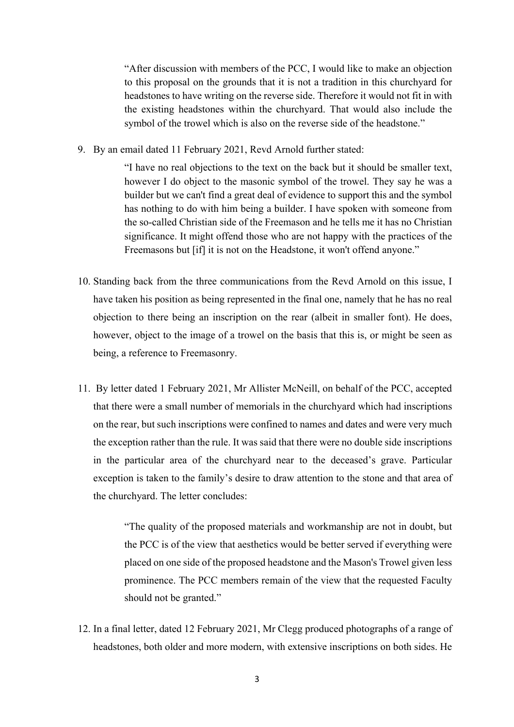"After discussion with members of the PCC, I would like to make an objection to this proposal on the grounds that it is not a tradition in this churchyard for headstones to have writing on the reverse side. Therefore it would not fit in with the existing headstones within the churchyard. That would also include the symbol of the trowel which is also on the reverse side of the headstone."

9. By an email dated 11 February 2021, Revd Arnold further stated:

"I have no real objections to the text on the back but it should be smaller text, however I do object to the masonic symbol of the trowel. They say he was a builder but we can't find a great deal of evidence to support this and the symbol has nothing to do with him being a builder. I have spoken with someone from the so-called Christian side of the Freemason and he tells me it has no Christian significance. It might offend those who are not happy with the practices of the Freemasons but [if] it is not on the Headstone, it won't offend anyone."

- 10. Standing back from the three communications from the Revd Arnold on this issue, I have taken his position as being represented in the final one, namely that he has no real objection to there being an inscription on the rear (albeit in smaller font). He does, however, object to the image of a trowel on the basis that this is, or might be seen as being, a reference to Freemasonry.
- 11. By letter dated 1 February 2021, Mr Allister McNeill, on behalf of the PCC, accepted that there were a small number of memorials in the churchyard which had inscriptions on the rear, but such inscriptions were confined to names and dates and were very much the exception rather than the rule. It was said that there were no double side inscriptions in the particular area of the churchyard near to the deceased's grave. Particular exception is taken to the family's desire to draw attention to the stone and that area of the churchyard. The letter concludes:

"The quality of the proposed materials and workmanship are not in doubt, but the PCC is of the view that aesthetics would be better served if everything were placed on one side of the proposed headstone and the Mason's Trowel given less prominence. The PCC members remain of the view that the requested Faculty should not be granted."

12. In a final letter, dated 12 February 2021, Mr Clegg produced photographs of a range of headstones, both older and more modern, with extensive inscriptions on both sides. He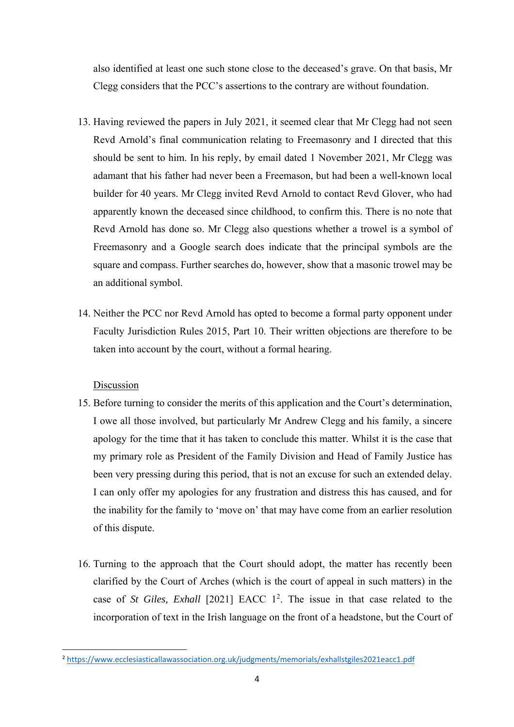also identified at least one such stone close to the deceased's grave. On that basis, Mr Clegg considers that the PCC's assertions to the contrary are without foundation.

- 13. Having reviewed the papers in July 2021, it seemed clear that Mr Clegg had not seen Revd Arnold's final communication relating to Freemasonry and I directed that this should be sent to him. In his reply, by email dated 1 November 2021, Mr Clegg was adamant that his father had never been a Freemason, but had been a well-known local builder for 40 years. Mr Clegg invited Revd Arnold to contact Revd Glover, who had apparently known the deceased since childhood, to confirm this. There is no note that Revd Arnold has done so. Mr Clegg also questions whether a trowel is a symbol of Freemasonry and a Google search does indicate that the principal symbols are the square and compass. Further searches do, however, show that a masonic trowel may be an additional symbol.
- 14. Neither the PCC nor Revd Arnold has opted to become a formal party opponent under Faculty Jurisdiction Rules 2015, Part 10. Their written objections are therefore to be taken into account by the court, without a formal hearing.

## Discussion

 $\overline{\phantom{a}}$ 

- 15. Before turning to consider the merits of this application and the Court's determination, I owe all those involved, but particularly Mr Andrew Clegg and his family, a sincere apology for the time that it has taken to conclude this matter. Whilst it is the case that my primary role as President of the Family Division and Head of Family Justice has been very pressing during this period, that is not an excuse for such an extended delay. I can only offer my apologies for any frustration and distress this has caused, and for the inability for the family to 'move on' that may have come from an earlier resolution of this dispute.
- 16. Turning to the approach that the Court should adopt, the matter has recently been clarified by the Court of Arches (which is the court of appeal in such matters) in the case of *St Giles, Exhall* [2021] EACC 1<sup>2</sup>. The issue in that case related to the incorporation of text in the Irish language on the front of a headstone, but the Court of

<sup>2</sup> https://www.ecclesiasticallawassociation.org.uk/judgments/memorials/exhallstgiles2021eacc1.pdf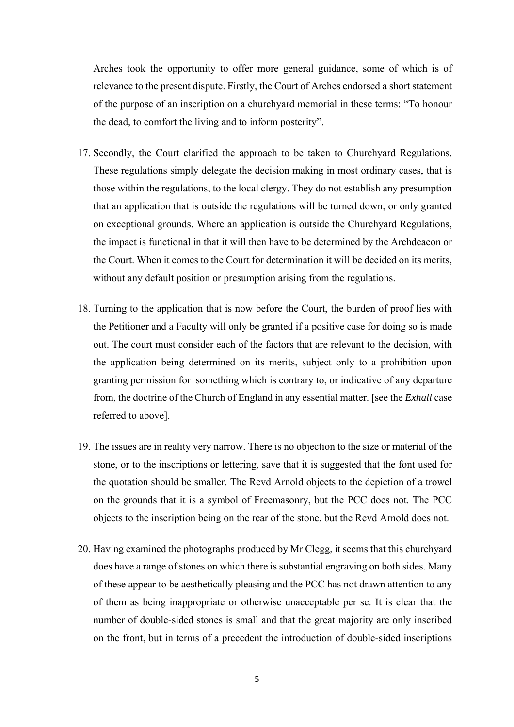Arches took the opportunity to offer more general guidance, some of which is of relevance to the present dispute. Firstly, the Court of Arches endorsed a short statement of the purpose of an inscription on a churchyard memorial in these terms: "To honour the dead, to comfort the living and to inform posterity".

- 17. Secondly, the Court clarified the approach to be taken to Churchyard Regulations. These regulations simply delegate the decision making in most ordinary cases, that is those within the regulations, to the local clergy. They do not establish any presumption that an application that is outside the regulations will be turned down, or only granted on exceptional grounds. Where an application is outside the Churchyard Regulations, the impact is functional in that it will then have to be determined by the Archdeacon or the Court. When it comes to the Court for determination it will be decided on its merits, without any default position or presumption arising from the regulations.
- 18. Turning to the application that is now before the Court, the burden of proof lies with the Petitioner and a Faculty will only be granted if a positive case for doing so is made out. The court must consider each of the factors that are relevant to the decision, with the application being determined on its merits, subject only to a prohibition upon granting permission for something which is contrary to, or indicative of any departure from, the doctrine of the Church of England in any essential matter. [see the *Exhall* case referred to above].
- 19. The issues are in reality very narrow. There is no objection to the size or material of the stone, or to the inscriptions or lettering, save that it is suggested that the font used for the quotation should be smaller. The Revd Arnold objects to the depiction of a trowel on the grounds that it is a symbol of Freemasonry, but the PCC does not. The PCC objects to the inscription being on the rear of the stone, but the Revd Arnold does not.
- 20. Having examined the photographs produced by Mr Clegg, it seems that this churchyard does have a range of stones on which there is substantial engraving on both sides. Many of these appear to be aesthetically pleasing and the PCC has not drawn attention to any of them as being inappropriate or otherwise unacceptable per se. It is clear that the number of double-sided stones is small and that the great majority are only inscribed on the front, but in terms of a precedent the introduction of double-sided inscriptions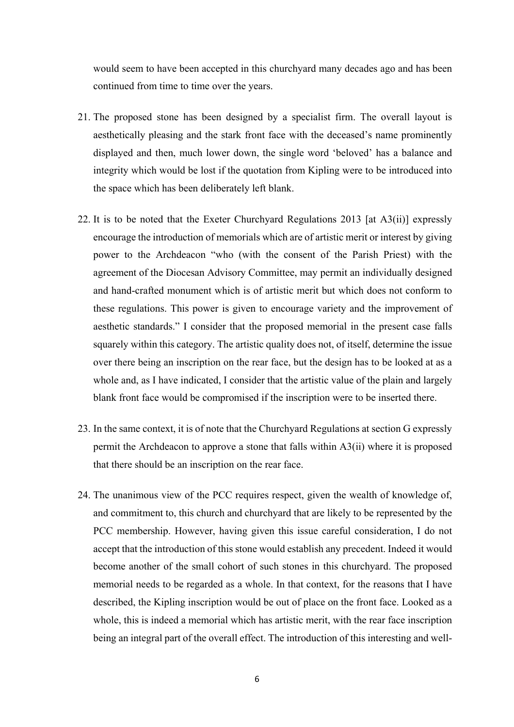would seem to have been accepted in this churchyard many decades ago and has been continued from time to time over the years.

- 21. The proposed stone has been designed by a specialist firm. The overall layout is aesthetically pleasing and the stark front face with the deceased's name prominently displayed and then, much lower down, the single word 'beloved' has a balance and integrity which would be lost if the quotation from Kipling were to be introduced into the space which has been deliberately left blank.
- 22. It is to be noted that the Exeter Churchyard Regulations 2013 [at A3(ii)] expressly encourage the introduction of memorials which are of artistic merit or interest by giving power to the Archdeacon "who (with the consent of the Parish Priest) with the agreement of the Diocesan Advisory Committee, may permit an individually designed and hand-crafted monument which is of artistic merit but which does not conform to these regulations. This power is given to encourage variety and the improvement of aesthetic standards." I consider that the proposed memorial in the present case falls squarely within this category. The artistic quality does not, of itself, determine the issue over there being an inscription on the rear face, but the design has to be looked at as a whole and, as I have indicated, I consider that the artistic value of the plain and largely blank front face would be compromised if the inscription were to be inserted there.
- 23. In the same context, it is of note that the Churchyard Regulations at section G expressly permit the Archdeacon to approve a stone that falls within A3(ii) where it is proposed that there should be an inscription on the rear face.
- 24. The unanimous view of the PCC requires respect, given the wealth of knowledge of, and commitment to, this church and churchyard that are likely to be represented by the PCC membership. However, having given this issue careful consideration, I do not accept that the introduction of this stone would establish any precedent. Indeed it would become another of the small cohort of such stones in this churchyard. The proposed memorial needs to be regarded as a whole. In that context, for the reasons that I have described, the Kipling inscription would be out of place on the front face. Looked as a whole, this is indeed a memorial which has artistic merit, with the rear face inscription being an integral part of the overall effect. The introduction of this interesting and well-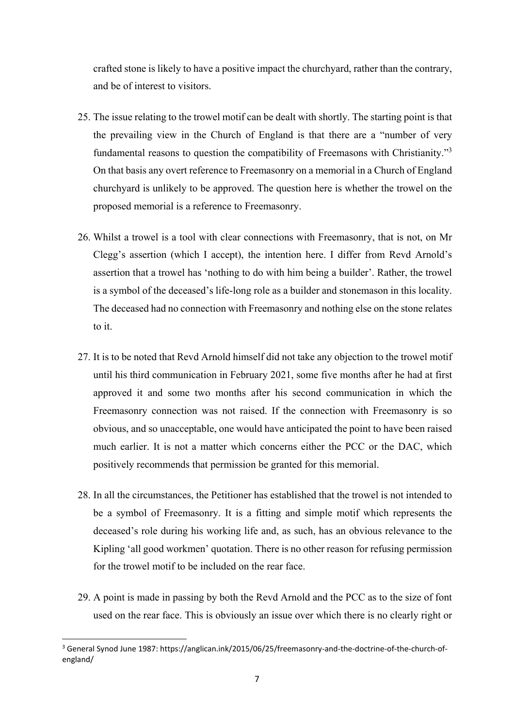crafted stone is likely to have a positive impact the churchyard, rather than the contrary, and be of interest to visitors.

- 25. The issue relating to the trowel motif can be dealt with shortly. The starting point is that the prevailing view in the Church of England is that there are a "number of very fundamental reasons to question the compatibility of Freemasons with Christianity."<sup>3</sup> On that basis any overt reference to Freemasonry on a memorial in a Church of England churchyard is unlikely to be approved. The question here is whether the trowel on the proposed memorial is a reference to Freemasonry.
- 26. Whilst a trowel is a tool with clear connections with Freemasonry, that is not, on Mr Clegg's assertion (which I accept), the intention here. I differ from Revd Arnold's assertion that a trowel has 'nothing to do with him being a builder'. Rather, the trowel is a symbol of the deceased's life-long role as a builder and stonemason in this locality. The deceased had no connection with Freemasonry and nothing else on the stone relates to it.
- 27. It is to be noted that Revd Arnold himself did not take any objection to the trowel motif until his third communication in February 2021, some five months after he had at first approved it and some two months after his second communication in which the Freemasonry connection was not raised. If the connection with Freemasonry is so obvious, and so unacceptable, one would have anticipated the point to have been raised much earlier. It is not a matter which concerns either the PCC or the DAC, which positively recommends that permission be granted for this memorial.
- 28. In all the circumstances, the Petitioner has established that the trowel is not intended to be a symbol of Freemasonry. It is a fitting and simple motif which represents the deceased's role during his working life and, as such, has an obvious relevance to the Kipling 'all good workmen' quotation. There is no other reason for refusing permission for the trowel motif to be included on the rear face.
- 29. A point is made in passing by both the Revd Arnold and the PCC as to the size of font used on the rear face. This is obviously an issue over which there is no clearly right or

 $\overline{a}$ 

<sup>&</sup>lt;sup>3</sup> General Synod June 1987: https://anglican.ink/2015/06/25/freemasonry-and-the-doctrine-of-the-church-ofengland/